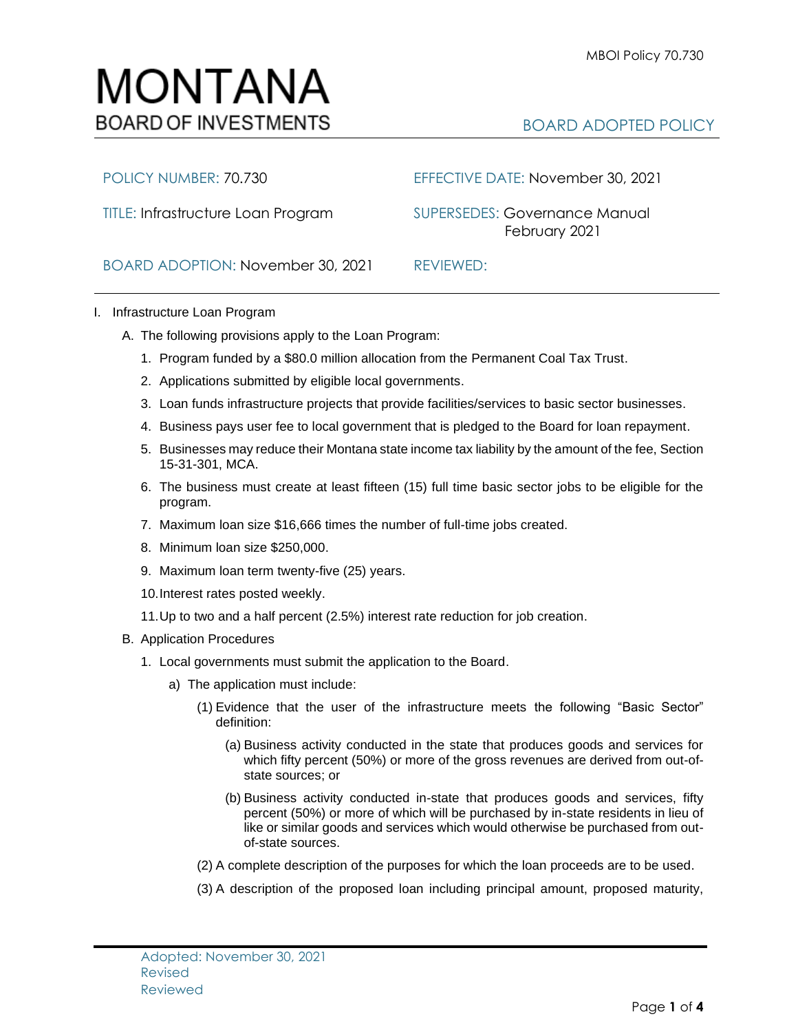## MONTANA **BOARD OF INVESTMENTS**

## BOARD ADOPTED POLICY

POLICY NUMBER: 70.730 EFFECTIVE DATE: November 30, 2021

TITLE: Infrastructure Loan Program SUPERSEDES: Governance ManualFebruary 2021

BOARD ADOPTION: November 30, 2021REVIEWED:

## I. Infrastructure Loan Program

- A. The following provisions apply to the Loan Program:
	- 1. Program funded by a \$80.0 million allocation from the Permanent Coal Tax Trust.
	- 2. Applications submitted by eligible local governments.
	- 3. Loan funds infrastructure projects that provide facilities/services to basic sector businesses.
	- 4. Business pays user fee to local government that is pledged to the Board for loan repayment.
	- 5. Businesses may reduce their Montana state income tax liability by the amount of the fee, Section 15-31-301, MCA.
	- 6. The business must create at least fifteen (15) full time basic sector jobs to be eligible for the program.
	- 7. Maximum loan size \$16,666 times the number of full-time jobs created.
	- 8. Minimum loan size \$250,000.
	- 9. Maximum loan term twenty-five (25) years.
	- 10.Interest rates posted weekly.
	- 11.Up to two and a half percent (2.5%) interest rate reduction for job creation.
- B. Application Procedures
	- 1. Local governments must submit the application to the Board.
		- a) The application must include:
			- (1) Evidence that the user of the infrastructure meets the following "Basic Sector" definition:
				- (a) Business activity conducted in the state that produces goods and services for which fifty percent (50%) or more of the gross revenues are derived from out-ofstate sources; or
				- (b) Business activity conducted in-state that produces goods and services, fifty percent (50%) or more of which will be purchased by in-state residents in lieu of like or similar goods and services which would otherwise be purchased from outof-state sources.
			- (2) A complete description of the purposes for which the loan proceeds are to be used.
			- (3) A description of the proposed loan including principal amount, proposed maturity,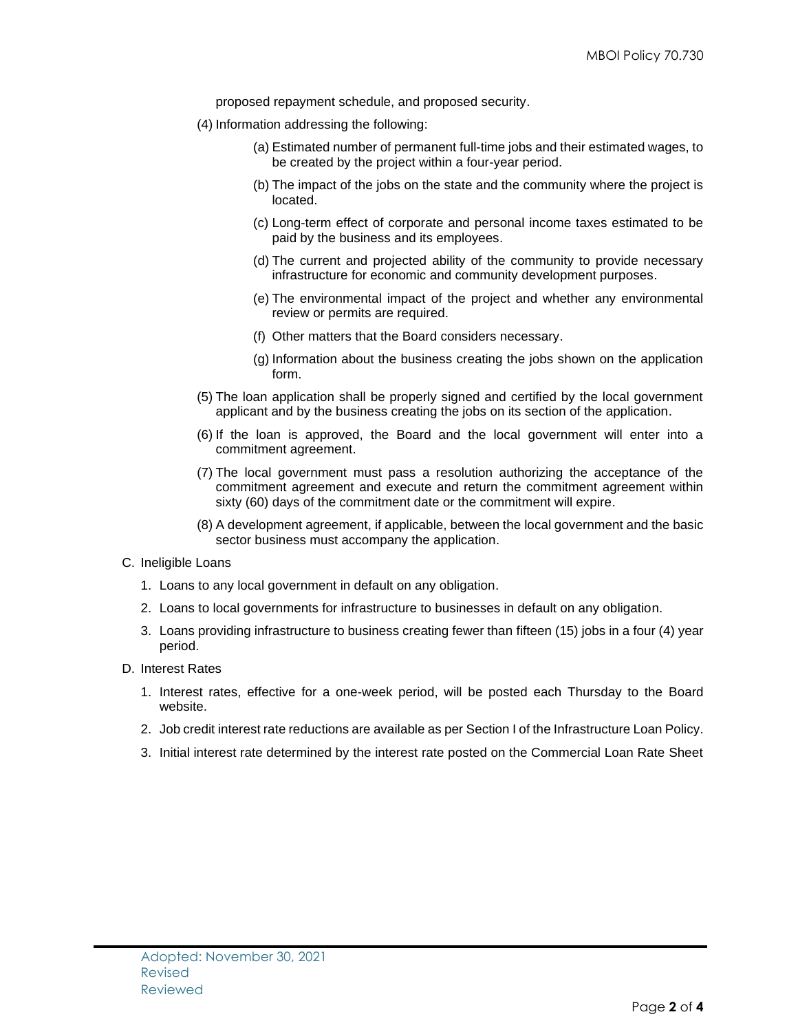proposed repayment schedule, and proposed security.

- (4) Information addressing the following:
	- (a) Estimated number of permanent full-time jobs and their estimated wages, to be created by the project within a four-year period.
	- (b) The impact of the jobs on the state and the community where the project is located.
	- (c) Long-term effect of corporate and personal income taxes estimated to be paid by the business and its employees.
	- (d) The current and projected ability of the community to provide necessary infrastructure for economic and community development purposes.
	- (e) The environmental impact of the project and whether any environmental review or permits are required.
	- (f) Other matters that the Board considers necessary.
	- (g) Information about the business creating the jobs shown on the application form.
- (5) The loan application shall be properly signed and certified by the local government applicant and by the business creating the jobs on its section of the application.
- (6) If the loan is approved, the Board and the local government will enter into a commitment agreement.
- (7) The local government must pass a resolution authorizing the acceptance of the commitment agreement and execute and return the commitment agreement within sixty (60) days of the commitment date or the commitment will expire.
- (8) A development agreement, if applicable, between the local government and the basic sector business must accompany the application.
- C. Ineligible Loans
	- 1. Loans to any local government in default on any obligation.
	- 2. Loans to local governments for infrastructure to businesses in default on any obligation.
	- 3. Loans providing infrastructure to business creating fewer than fifteen (15) jobs in a four (4) year period.
- D. Interest Rates
	- 1. Interest rates, effective for a one-week period, will be posted each Thursday to the Board website.
	- 2. Job credit interest rate reductions are available as per Section I of the Infrastructure Loan Policy.
	- 3. Initial interest rate determined by the interest rate posted on the Commercial Loan Rate Sheet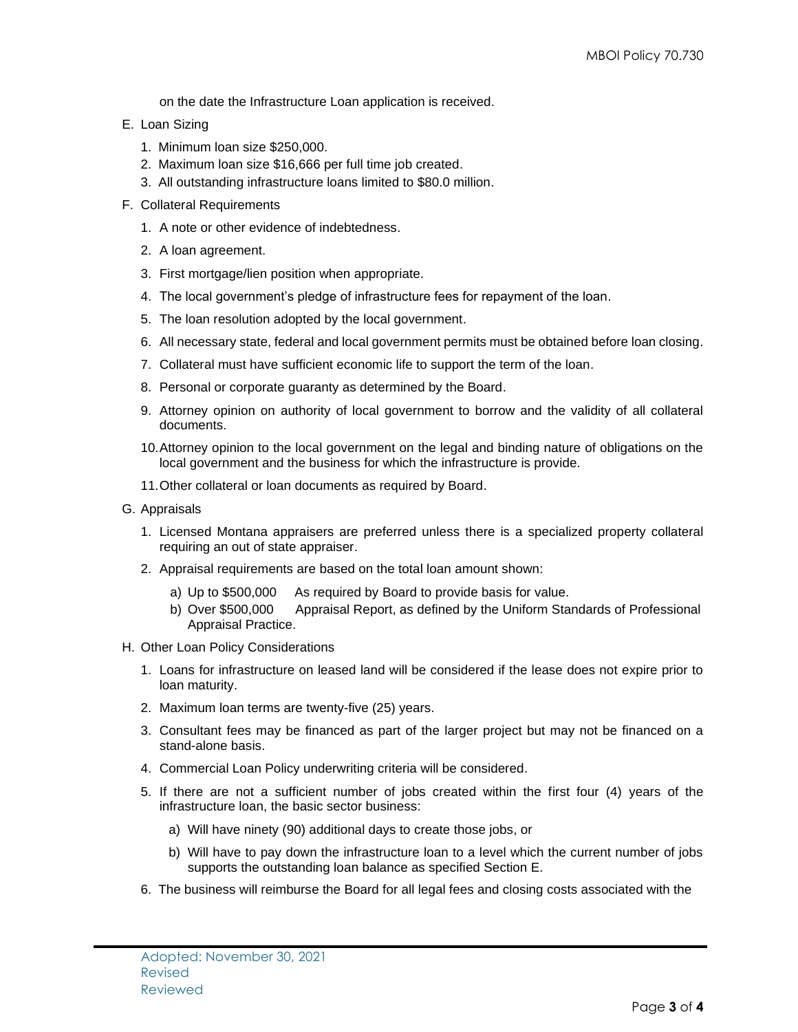on the date the Infrastructure Loan application is received.

- E. Loan Sizing
	- 1. Minimum loan size \$250,000.
	- 2. Maximum loan size \$16,666 per full time job created.
	- 3. All outstanding infrastructure loans limited to \$80.0 million.
- F. Collateral Requirements
	- 1. A note or other evidence of indebtedness.
	- 2. A loan agreement.
	- 3. First mortgage/lien position when appropriate.
	- 4. The local government's pledge of infrastructure fees for repayment of the loan.
	- 5. The loan resolution adopted by the local government.
	- 6. All necessary state, federal and local government permits must be obtained before loan closing.
	- 7. Collateral must have sufficient economic life to support the term of the loan.
	- 8. Personal or corporate guaranty as determined by the Board.
	- 9. Attorney opinion on authority of local government to borrow and the validity of all collateral documents.
	- 10.Attorney opinion to the local government on the legal and binding nature of obligations on the local government and the business for which the infrastructure is provide.
	- 11.Other collateral or loan documents as required by Board.
- G. Appraisals
	- 1. Licensed Montana appraisers are preferred unless there is a specialized property collateral requiring an out of state appraiser.
	- 2. Appraisal requirements are based on the total loan amount shown:
		- a) Up to \$500,000 As required by Board to provide basis for value.
		- b) Over \$500,000 Appraisal Report, as defined by the Uniform Standards of Professional Appraisal Practice.
- H. Other Loan Policy Considerations
	- 1. Loans for infrastructure on leased land will be considered if the lease does not expire prior to loan maturity.
	- 2. Maximum loan terms are twenty-five (25) years.
	- 3. Consultant fees may be financed as part of the larger project but may not be financed on a stand-alone basis.
	- 4. Commercial Loan Policy underwriting criteria will be considered.
	- 5. If there are not a sufficient number of jobs created within the first four (4) years of the infrastructure loan, the basic sector business:
		- a) Will have ninety (90) additional days to create those jobs, or
		- b) Will have to pay down the infrastructure loan to a level which the current number of jobs supports the outstanding loan balance as specified Section E.
	- 6. The business will reimburse the Board for all legal fees and closing costs associated with the